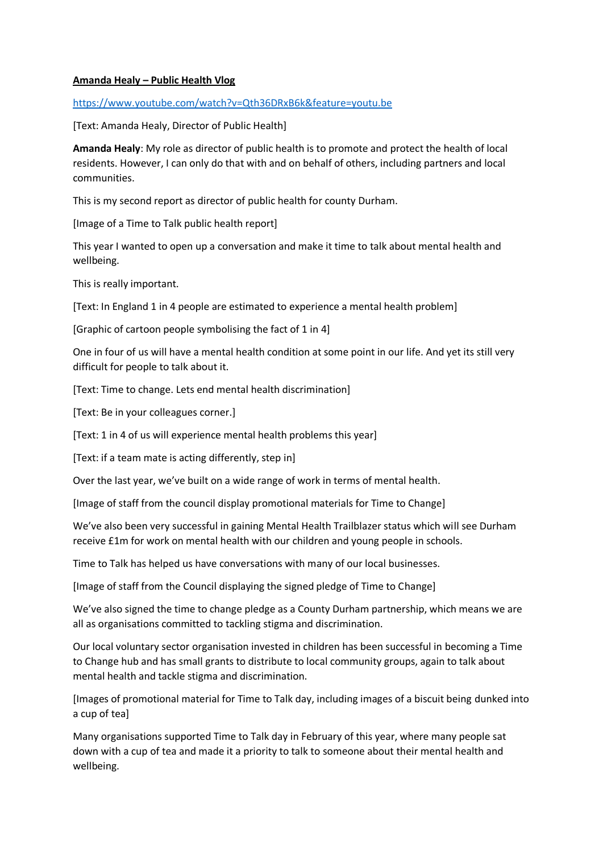## **Amanda Healy – Public Health Vlog**

<https://www.youtube.com/watch?v=Qth36DRxB6k&feature=youtu.be>

[Text: Amanda Healy, Director of Public Health]

**Amanda Healy**: My role as director of public health is to promote and protect the health of local residents. However, I can only do that with and on behalf of others, including partners and local communities.

This is my second report as director of public health for county Durham.

[Image of a Time to Talk public health report]

This year I wanted to open up a conversation and make it time to talk about mental health and wellbeing.

This is really important.

[Text: In England 1 in 4 people are estimated to experience a mental health problem]

[Graphic of cartoon people symbolising the fact of 1 in 4]

One in four of us will have a mental health condition at some point in our life. And yet its still very difficult for people to talk about it.

[Text: Time to change. Lets end mental health discrimination]

[Text: Be in your colleagues corner.]

[Text: 1 in 4 of us will experience mental health problems this year]

[Text: if a team mate is acting differently, step in]

Over the last year, we've built on a wide range of work in terms of mental health.

[Image of staff from the council display promotional materials for Time to Change]

We've also been very successful in gaining Mental Health Trailblazer status which will see Durham receive £1m for work on mental health with our children and young people in schools.

Time to Talk has helped us have conversations with many of our local businesses.

[Image of staff from the Council displaying the signed pledge of Time to Change]

We've also signed the time to change pledge as a County Durham partnership, which means we are all as organisations committed to tackling stigma and discrimination.

Our local voluntary sector organisation invested in children has been successful in becoming a Time to Change hub and has small grants to distribute to local community groups, again to talk about mental health and tackle stigma and discrimination.

[Images of promotional material for Time to Talk day, including images of a biscuit being dunked into a cup of tea]

Many organisations supported Time to Talk day in February of this year, where many people sat down with a cup of tea and made it a priority to talk to someone about their mental health and wellbeing.